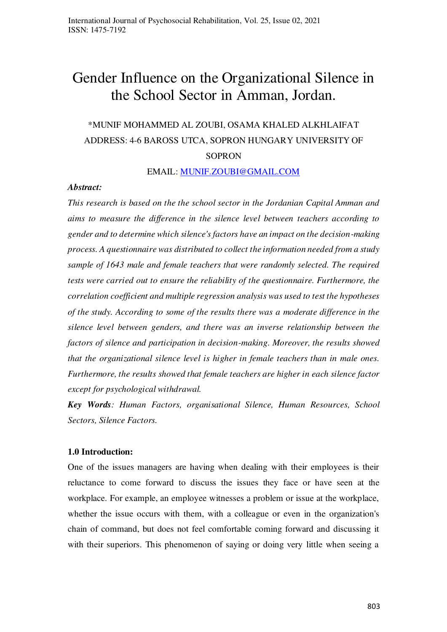# Gender Influence on the Organizational Silence in the School Sector in Amman, Jordan.

## \*MUNIF MOHAMMED AL ZOUBI, OSAMA KHALED ALKHLAIFAT ADDRESS: 4-6 BAROSS UTCA, SOPRON HUNGARY UNIVERSITY OF **SOPRON**

EMAIL: [MUNIF.ZOUBI@GMAIL.COM](mailto:MUNIF.ZOUBI@GMAIL.COM)

#### *Abstract:*

*This research is based on the the school sector in the Jordanian Capital Amman and aims to measure the difference in the silence level between teachers according to gender and to determine which silence's factors have an impact on the decision-making process. A questionnaire was distributed to collect the information needed from a study sample of 1643 male and female teachers that were randomly selected. The required tests were carried out to ensure the reliability of the questionnaire. Furthermore, the correlation coefficient and multiple regression analysis was used to test the hypotheses of the study. According to some of the results there was a moderate difference in the silence level between genders, and there was an inverse relationship between the factors of silence and participation in decision-making. Moreover, the results showed that the organizational silence level is higher in female teachers than in male ones. Furthermore, the results showed that female teachers are higher in each silence factor except for psychological withdrawal.* 

*Key Words: Human Factors, organisational Silence, Human Resources, School Sectors, Silence Factors.* 

#### **1.0 Introduction:**

One of the issues managers are having when dealing with their employees is their reluctance to come forward to discuss the issues they face or have seen at the workplace. For example, an employee witnesses a problem or issue at the workplace, whether the issue occurs with them, with a colleague or even in the organization's chain of command, but does not feel comfortable coming forward and discussing it with their superiors. This phenomenon of saying or doing very little when seeing a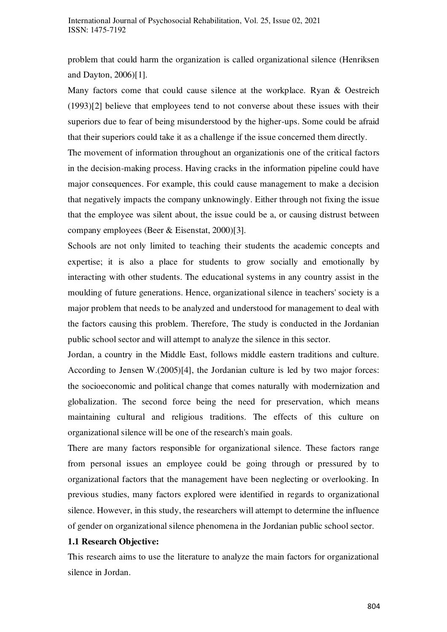problem that could harm the organization is called organizational silence (Henriksen and Dayton, 2006)[1].

Many factors come that could cause silence at the workplace. Ryan & Oestreich (1993)[2] believe that employees tend to not converse about these issues with their superiors due to fear of being misunderstood by the higher-ups. Some could be afraid that their superiors could take it as a challenge if the issue concerned them directly.

The movement of information throughout an organizationis one of the critical factors in the decision-making process. Having cracks in the information pipeline could have major consequences. For example, this could cause management to make a decision that negatively impacts the company unknowingly. Either through not fixing the issue that the employee was silent about, the issue could be a, or causing distrust between company employees (Beer & Eisenstat, 2000)[3].

Schools are not only limited to teaching their students the academic concepts and expertise; it is also a place for students to grow socially and emotionally by interacting with other students. The educational systems in any country assist in the moulding of future generations. Hence, organizational silence in teachers' society is a major problem that needs to be analyzed and understood for management to deal with the factors causing this problem. Therefore, The study is conducted in the Jordanian public school sector and will attempt to analyze the silence in this sector.

Jordan, a country in the Middle East, follows middle eastern traditions and culture. According to Jensen W.(2005)[4], the Jordanian culture is led by two major forces: the socioeconomic and political change that comes naturally with modernization and globalization. The second force being the need for preservation, which means maintaining cultural and religious traditions. The effects of this culture on organizational silence will be one of the research's main goals.

There are many factors responsible for organizational silence. These factors range from personal issues an employee could be going through or pressured by to organizational factors that the management have been neglecting or overlooking. In previous studies, many factors explored were identified in regards to organizational silence. However, in this study, the researchers will attempt to determine the influence of gender on organizational silence phenomena in the Jordanian public school sector.

#### **1.1 Research Objective:**

This research aims to use the literature to analyze the main factors for organizational silence in Jordan.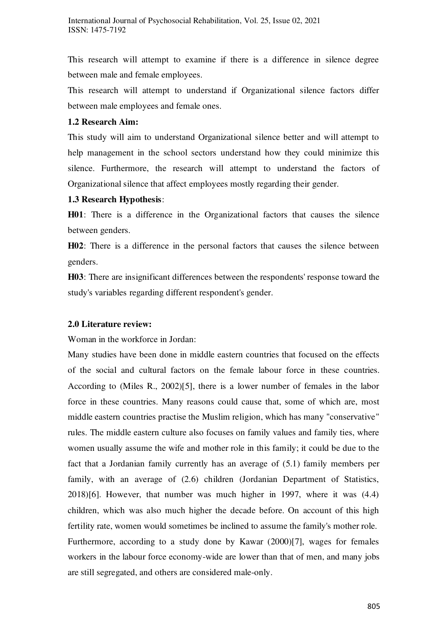This research will attempt to examine if there is a difference in silence degree between male and female employees.

This research will attempt to understand if Organizational silence factors differ between male employees and female ones.

#### **1.2 Research Aim:**

This study will aim to understand Organizational silence better and will attempt to help management in the school sectors understand how they could minimize this silence. Furthermore, the research will attempt to understand the factors of Organizational silence that affect employees mostly regarding their gender.

## **1.3 Research Hypothesis**:

**H01**: There is a difference in the Organizational factors that causes the silence between genders.

**H02**: There is a difference in the personal factors that causes the silence between genders.

**H03**: There are insignificant differences between the respondents' response toward the study's variables regarding different respondent's gender.

## **2.0 Literature review:**

Woman in the workforce in Jordan:

Many studies have been done in middle eastern countries that focused on the effects of the social and cultural factors on the female labour force in these countries. According to (Miles R., 2002)[5], there is a lower number of females in the labor force in these countries. Many reasons could cause that, some of which are, most middle eastern countries practise the Muslim religion, which has many "conservative" rules. The middle eastern culture also focuses on family values and family ties, where women usually assume the wife and mother role in this family; it could be due to the fact that a Jordanian family currently has an average of (5.1) family members per family, with an average of (2.6) children (Jordanian Department of Statistics, 2018)[6]. However, that number was much higher in 1997, where it was (4.4) children, which was also much higher the decade before. On account of this high fertility rate, women would sometimes be inclined to assume the family's mother role. Furthermore, according to a study done by Kawar (2000)[7], wages for females workers in the labour force economy-wide are lower than that of men, and many jobs are still segregated, and others are considered male-only.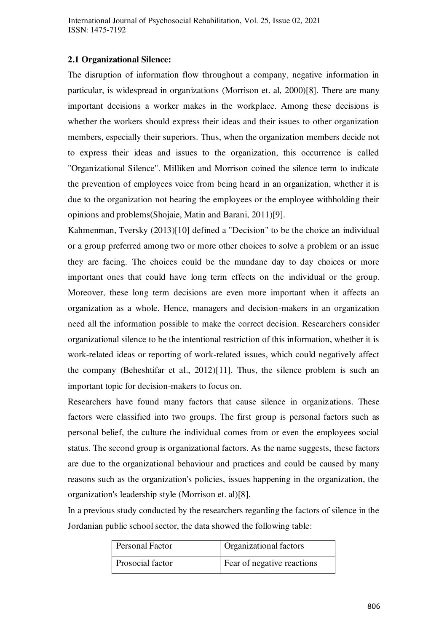## **2.1 Organizational Silence:**

The disruption of information flow throughout a company, negative information in particular, is widespread in organizations (Morrison et. al, 2000)[8]. There are many important decisions a worker makes in the workplace. Among these decisions is whether the workers should express their ideas and their issues to other organization members, especially their superiors. Thus, when the organization members decide not to express their ideas and issues to the organization, this occurrence is called "Organizational Silence". Milliken and Morrison coined the silence term to indicate the prevention of employees voice from being heard in an organization, whether it is due to the organization not hearing the employees or the employee withholding their opinions and problems(Shojaie, Matin and Barani, 2011)[9].

Kahmenman, Tversky (2013)[10] defined a "Decision" to be the choice an individual or a group preferred among two or more other choices to solve a problem or an issue they are facing. The choices could be the mundane day to day choices or more important ones that could have long term effects on the individual or the group. Moreover, these long term decisions are even more important when it affects an organization as a whole. Hence, managers and decision-makers in an organization need all the information possible to make the correct decision. Researchers consider organizational silence to be the intentional restriction of this information, whether it is work-related ideas or reporting of work-related issues, which could negatively affect the company (Beheshtifar et al., 2012)[11]. Thus, the silence problem is such an important topic for decision-makers to focus on.

Researchers have found many factors that cause silence in organizations. These factors were classified into two groups. The first group is personal factors such as personal belief, the culture the individual comes from or even the employees social status. The second group is organizational factors. As the name suggests, these factors are due to the organizational behaviour and practices and could be caused by many reasons such as the organization's policies, issues happening in the organization, the organization's leadership style (Morrison et. al)[8].

In a previous study conducted by the researchers regarding the factors of silence in the Jordanian public school sector, the data showed the following table:

| Personal Factor  | Organizational factors     |
|------------------|----------------------------|
| Prosocial factor | Fear of negative reactions |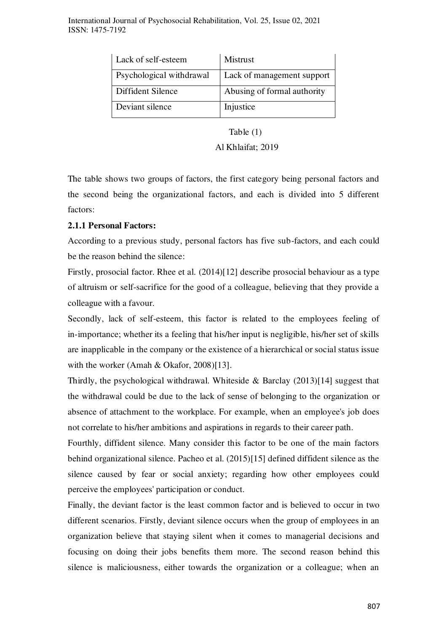| Lack of self-esteem      | Mistrust                    |
|--------------------------|-----------------------------|
| Psychological withdrawal | Lack of management support  |
| Diffident Silence        | Abusing of formal authority |
| Deviant silence          | Injustice                   |

## Table (1)

#### Al Khlaifat; 2019

The table shows two groups of factors, the first category being personal factors and the second being the organizational factors, and each is divided into 5 different factors:

## **2.1.1 Personal Factors:**

According to a previous study, personal factors has five sub-factors, and each could be the reason behind the silence:

Firstly, prosocial factor. Rhee et al. (2014)[12] describe prosocial behaviour as a type of altruism or self-sacrifice for the good of a colleague, believing that they provide a colleague with a favour.

Secondly, lack of self-esteem, this factor is related to the employees feeling of in-importance; whether its a feeling that his/her input is negligible, his/her set of skills are inapplicable in the company or the existence of a hierarchical or social status issue with the worker (Amah & Okafor, 2008)[13].

Thirdly, the psychological withdrawal. Whiteside & Barclay (2013)[14] suggest that the withdrawal could be due to the lack of sense of belonging to the organization or absence of attachment to the workplace. For example, when an employee's job does not correlate to his/her ambitions and aspirations in regards to their career path.

Fourthly, diffident silence. Many consider this factor to be one of the main factors behind organizational silence. Pacheo et al. (2015)[15] defined diffident silence as the silence caused by fear or social anxiety; regarding how other employees could perceive the employees' participation or conduct.

Finally, the deviant factor is the least common factor and is believed to occur in two different scenarios. Firstly, deviant silence occurs when the group of employees in an organization believe that staying silent when it comes to managerial decisions and focusing on doing their jobs benefits them more. The second reason behind this silence is maliciousness, either towards the organization or a colleague; when an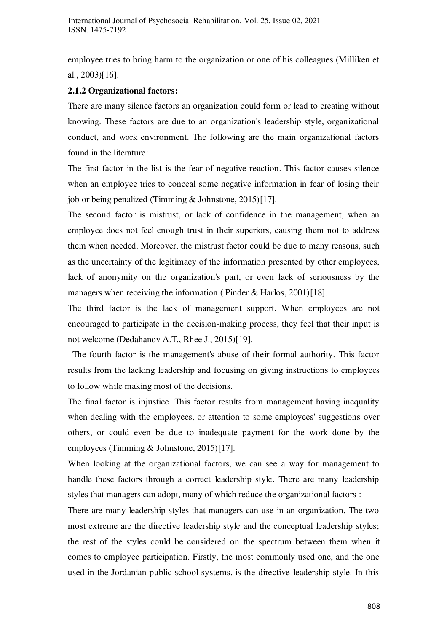employee tries to bring harm to the organization or one of his colleagues (Milliken et al., 2003)[16].

## **2.1.2 Organizational factors:**

There are many silence factors an organization could form or lead to creating without knowing. These factors are due to an organization's leadership style, organizational conduct, and work environment. The following are the main organizational factors found in the literature:

The first factor in the list is the fear of negative reaction. This factor causes silence when an employee tries to conceal some negative information in fear of losing their job or being penalized (Timming & Johnstone, 2015)[17].

The second factor is mistrust, or lack of confidence in the management, when an employee does not feel enough trust in their superiors, causing them not to address them when needed. Moreover, the mistrust factor could be due to many reasons, such as the uncertainty of the legitimacy of the information presented by other employees, lack of anonymity on the organization's part, or even lack of seriousness by the managers when receiving the information (Pinder & Harlos, 2001)[18].

The third factor is the lack of management support. When employees are not encouraged to participate in the decision-making process, they feel that their input is not welcome (Dedahanov A.T., Rhee J., 2015)[19].

 The fourth factor is the management's abuse of their formal authority. This factor results from the lacking leadership and focusing on giving instructions to employees to follow while making most of the decisions.

The final factor is injustice. This factor results from management having inequality when dealing with the employees, or attention to some employees' suggestions over others, or could even be due to inadequate payment for the work done by the employees (Timming & Johnstone, 2015)[17].

When looking at the organizational factors, we can see a way for management to handle these factors through a correct leadership style. There are many leadership styles that managers can adopt, many of which reduce the organizational factors :

There are many leadership styles that managers can use in an organization. The two most extreme are the directive leadership style and the conceptual leadership styles; the rest of the styles could be considered on the spectrum between them when it comes to employee participation. Firstly, the most commonly used one, and the one used in the Jordanian public school systems, is the directive leadership style. In this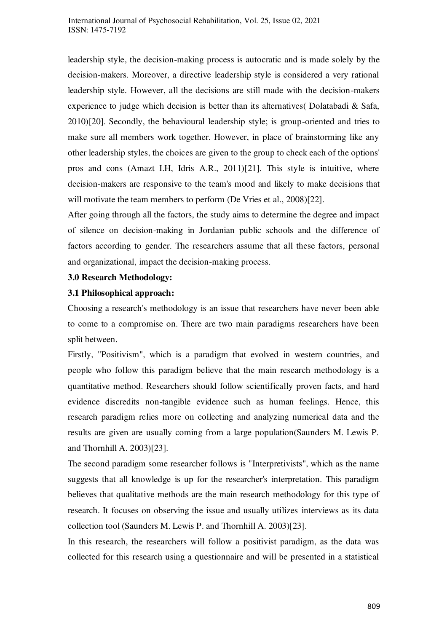leadership style, the decision-making process is autocratic and is made solely by the decision-makers. Moreover, a directive leadership style is considered a very rational leadership style. However, all the decisions are still made with the decision-makers experience to judge which decision is better than its alternatives( Dolatabadi & Safa, 2010)[20]. Secondly, the behavioural leadership style; is group-oriented and tries to make sure all members work together. However, in place of brainstorming like any other leadership styles, the choices are given to the group to check each of the options' pros and cons (Amazt I.H, Idris A.R., 2011)[21]. This style is intuitive, where decision-makers are responsive to the team's mood and likely to make decisions that will motivate the team members to perform (De Vries et al., 2008)[22].

After going through all the factors, the study aims to determine the degree and impact of silence on decision-making in Jordanian public schools and the difference of factors according to gender. The researchers assume that all these factors, personal and organizational, impact the decision-making process.

## **3.0 Research Methodology:**

## **3.1 Philosophical approach:**

Choosing a research's methodology is an issue that researchers have never been able to come to a compromise on. There are two main paradigms researchers have been split between.

Firstly, "Positivism", which is a paradigm that evolved in western countries, and people who follow this paradigm believe that the main research methodology is a quantitative method. Researchers should follow scientifically proven facts, and hard evidence discredits non-tangible evidence such as human feelings. Hence, this research paradigm relies more on collecting and analyzing numerical data and the results are given are usually coming from a large population(Saunders M. Lewis P. and Thornhill A. 2003)[23].

The second paradigm some researcher follows is "Interpretivists", which as the name suggests that all knowledge is up for the researcher's interpretation. This paradigm believes that qualitative methods are the main research methodology for this type of research. It focuses on observing the issue and usually utilizes interviews as its data collection tool (Saunders M. Lewis P. and Thornhill A. 2003)[23].

In this research, the researchers will follow a positivist paradigm, as the data was collected for this research using a questionnaire and will be presented in a statistical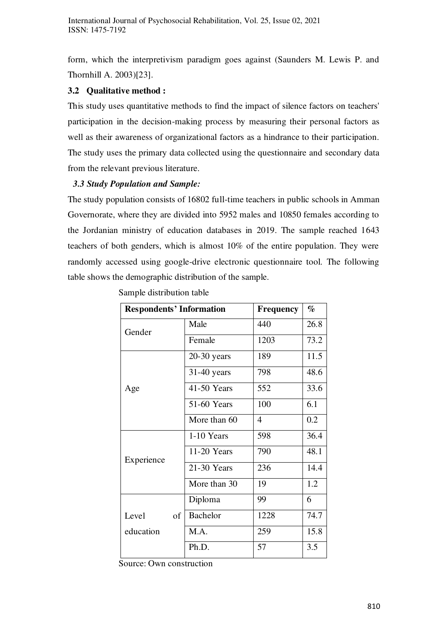form, which the interpretivism paradigm goes against (Saunders M. Lewis P. and Thornhill A. 2003)[23].

## **3.2 Qualitative method :**

This study uses quantitative methods to find the impact of silence factors on teachers' participation in the decision-making process by measuring their personal factors as well as their awareness of organizational factors as a hindrance to their participation. The study uses the primary data collected using the questionnaire and secondary data from the relevant previous literature.

## *3.3 Study Population and Sample:*

The study population consists of 16802 full-time teachers in public schools in Amman Governorate, where they are divided into 5952 males and 10850 females according to the Jordanian ministry of education databases in 2019. The sample reached 1643 teachers of both genders, which is almost 10% of the entire population. They were randomly accessed using google-drive electronic questionnaire tool. The following table shows the demographic distribution of the sample.

| <b>Respondents' Information</b> | <b>Frequency</b> | $\%$                     |      |
|---------------------------------|------------------|--------------------------|------|
| Gender                          | Male             | 440                      | 26.8 |
|                                 | Female           | 1203                     | 73.2 |
|                                 | $20-30$ years    | 189                      | 11.5 |
|                                 | 31-40 years      | 798                      | 48.6 |
| Age                             | 41-50 Years      | 552                      | 33.6 |
|                                 | 51-60 Years      | 100                      | 6.1  |
|                                 | More than 60     | $\overline{\mathcal{A}}$ | 0.2  |
|                                 | 1-10 Years       | 598                      | 36.4 |
| Experience                      | 11-20 Years      | 790                      | 48.1 |
|                                 | 21-30 Years      | 236                      | 14.4 |
|                                 | More than 30     | 19                       | 1.2  |
|                                 | Diploma          | 99                       | 6    |
| Level<br>of                     | <b>Bachelor</b>  | 1228                     | 74.7 |
| education                       | M.A.             | 259                      | 15.8 |
|                                 | Ph.D.            | 57                       | 3.5  |

Sample distribution table

Source: Own construction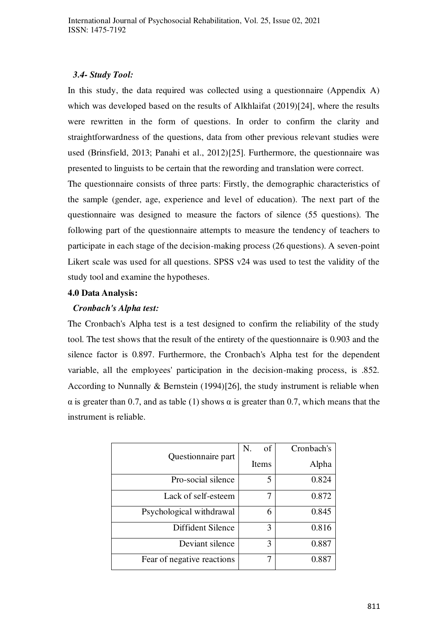## *3.4- Study Tool:*

In this study, the data required was collected using a questionnaire (Appendix A) which was developed based on the results of Alkhlaifat (2019)[24], where the results were rewritten in the form of questions. In order to confirm the clarity and straightforwardness of the questions, data from other previous relevant studies were used (Brinsfield, 2013; Panahi et al., 2012)[25]. Furthermore, the questionnaire was presented to linguists to be certain that the rewording and translation were correct.

The questionnaire consists of three parts: Firstly, the demographic characteristics of the sample (gender, age, experience and level of education). The next part of the questionnaire was designed to measure the factors of silence (55 questions). The following part of the questionnaire attempts to measure the tendency of teachers to participate in each stage of the decision-making process (26 questions). A seven-point Likert scale was used for all questions. SPSS v24 was used to test the validity of the study tool and examine the hypotheses.

## **4.0 Data Analysis:**

## *Cronbach's Alpha test:*

The Cronbach's Alpha test is a test designed to confirm the reliability of the study tool. The test shows that the result of the entirety of the questionnaire is 0.903 and the silence factor is 0.897. Furthermore, the Cronbach's Alpha test for the dependent variable, all the employees' participation in the decision-making process, is .852. According to Nunnally & Bernstein (1994)[26], the study instrument is reliable when α is greater than 0.7, and as table (1) shows α is greater than 0.7, which means that the instrument is reliable.

|                            | of<br>N. | Cronbach's |
|----------------------------|----------|------------|
| Questionnaire part         | Items    | Alpha      |
| Pro-social silence         | 5        | 0.824      |
| Lack of self-esteem        | 7        | 0.872      |
| Psychological withdrawal   | 6        | 0.845      |
| Diffident Silence          | 3        | 0.816      |
| Deviant silence            | 3        | 0.887      |
| Fear of negative reactions |          | 0.887      |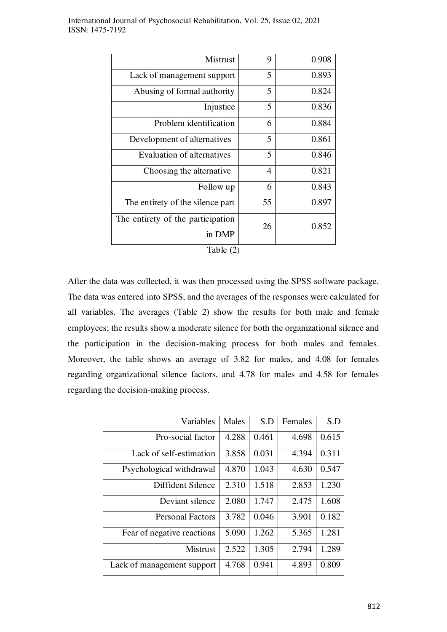| <b>Mistrust</b>                             | 9              | 0.908 |
|---------------------------------------------|----------------|-------|
| Lack of management support                  | 5              | 0.893 |
| Abusing of formal authority                 | 5              | 0.824 |
| Injustice                                   | 5              | 0.836 |
| Problem identification                      | 6              | 0.884 |
| Development of alternatives                 | 5              | 0.861 |
| Evaluation of alternatives                  | 5              | 0.846 |
| Choosing the alternative                    | $\overline{4}$ | 0.821 |
| Follow up                                   | 6              | 0.843 |
| The entirety of the silence part            | 55             | 0.897 |
| The entirety of the participation<br>in DMP | 26             | 0.852 |
| Table (2)                                   |                |       |

 $\ddot{\phantom{a}}$ 

After the data was collected, it was then processed using the SPSS software package. The data was entered into SPSS, and the averages of the responses were calculated for all variables. The averages (Table 2) show the results for both male and female employees; the results show a moderate silence for both the organizational silence and the participation in the decision-making process for both males and females. Moreover, the table shows an average of 3.82 for males, and 4.08 for females regarding organizational silence factors, and 4.78 for males and 4.58 for females regarding the decision-making process.

| Variables                  | Males | S.D   | Females | S.D   |
|----------------------------|-------|-------|---------|-------|
| Pro-social factor          | 4.288 | 0.461 | 4.698   | 0.615 |
| Lack of self-estimation    | 3.858 | 0.031 | 4.394   | 0.311 |
| Psychological withdrawal   | 4.870 | 1.043 | 4.630   | 0.547 |
| Diffident Silence          | 2.310 | 1.518 | 2.853   | 1.230 |
| Deviant silence            | 2.080 | 1.747 | 2.475   | 1.608 |
| <b>Personal Factors</b>    | 3.782 | 0.046 | 3.901   | 0.182 |
| Fear of negative reactions | 5.090 | 1.262 | 5.365   | 1.281 |
| <b>Mistrust</b>            | 2.522 | 1.305 | 2.794   | 1.289 |
| Lack of management support | 4.768 | 0.941 | 4.893   | 0.809 |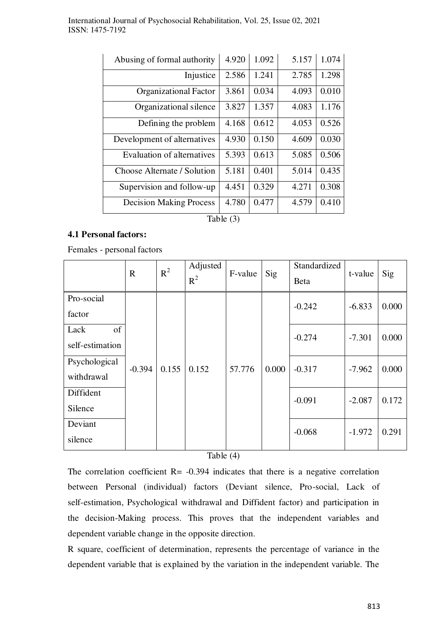| Abusing of formal authority    | 4.920 | 1.092 | 5.157 | 1.074 |
|--------------------------------|-------|-------|-------|-------|
| Injustice                      | 2.586 | 1.241 | 2.785 | 1.298 |
| <b>Organizational Factor</b>   | 3.861 | 0.034 | 4.093 | 0.010 |
| Organizational silence         | 3.827 | 1.357 | 4.083 | 1.176 |
| Defining the problem           | 4.168 | 0.612 | 4.053 | 0.526 |
| Development of alternatives    | 4.930 | 0.150 | 4.609 | 0.030 |
| Evaluation of alternatives     | 5.393 | 0.613 | 5.085 | 0.506 |
| Choose Alternate / Solution    | 5.181 | 0.401 | 5.014 | 0.435 |
| Supervision and follow-up      | 4.451 | 0.329 | 4.271 | 0.308 |
| <b>Decision Making Process</b> | 4.780 | 0.477 | 4.579 | 0.410 |

Table (3)

## **4.1 Personal factors:**

Females - personal factors

|                               | $\mathbf R$ | $R^2$ | Adjusted<br>$R^2$ | F-value | Sig   | Standardized<br><b>Beta</b> | t-value  | Sig   |
|-------------------------------|-------------|-------|-------------------|---------|-------|-----------------------------|----------|-------|
| Pro-social<br>factor          |             |       |                   |         |       | $-0.242$                    | $-6.833$ | 0.000 |
| of<br>Lack<br>self-estimation |             |       |                   |         |       | $-0.274$                    | $-7.301$ | 0.000 |
| Psychological<br>withdrawal   | $-0.394$    | 0.155 | 0.152             | 57.776  | 0.000 | $-0.317$                    | $-7.962$ | 0.000 |
| Diffident<br>Silence          |             |       |                   |         |       | $-0.091$                    | $-2.087$ | 0.172 |
| Deviant<br>silence            |             |       |                   |         |       | $-0.068$                    | $-1.972$ | 0.291 |

Table (4)

The correlation coefficient  $R = -0.394$  indicates that there is a negative correlation between Personal (individual) factors (Deviant silence, Pro-social, Lack of self-estimation, Psychological withdrawal and Diffident factor) and participation in the decision-Making process. This proves that the independent variables and dependent variable change in the opposite direction.

R square, coefficient of determination, represents the percentage of variance in the dependent variable that is explained by the variation in the independent variable. The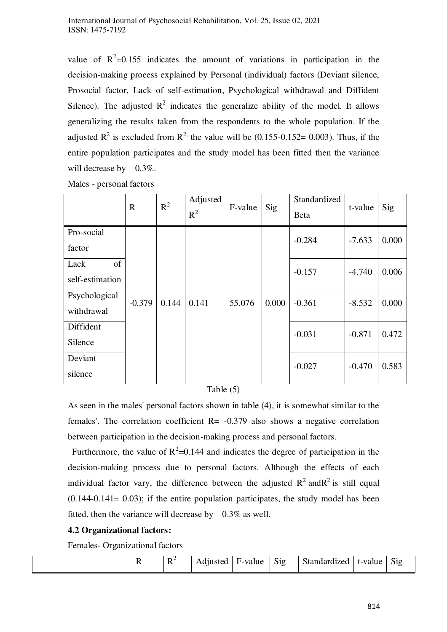value of  $R^2$ =0.155 indicates the amount of variations in participation in the decision-making process explained by Personal (individual) factors (Deviant silence, Prosocial factor, Lack of self-estimation, Psychological withdrawal and Diffident Silence). The adjusted  $R^2$  indicates the generalize ability of the model. It allows generalizing the results taken from the respondents to the whole population. If the adjusted  $\mathbb{R}^2$  is excluded from  $\mathbb{R}^2$ , the value will be (0.155-0.152= 0.003). Thus, if the entire population participates and the study model has been fitted then the variance will decrease by 0.3%.

|                               | $\mathbf R$ | $R^2$ | Adjusted<br>$R^2$ | F-value | Sig   | Standardized<br><b>Beta</b> | t-value  | Sig   |
|-------------------------------|-------------|-------|-------------------|---------|-------|-----------------------------|----------|-------|
| Pro-social<br>factor          |             |       |                   |         |       | $-0.284$                    | $-7.633$ | 0.000 |
| of<br>Lack<br>self-estimation |             |       |                   |         |       | $-0.157$                    | $-4.740$ | 0.006 |
| Psychological<br>withdrawal   | $-0.379$    | 0.144 | 0.141             | 55.076  | 0.000 | $-0.361$                    | $-8.532$ | 0.000 |
| Diffident<br>Silence          |             |       |                   |         |       | $-0.031$                    | $-0.871$ | 0.472 |
| Deviant<br>silence            |             |       |                   |         |       | $-0.027$                    | $-0.470$ | 0.583 |

#### Table (5)

As seen in the males' personal factors shown in table (4), it is somewhat similar to the females'. The correlation coefficient  $R = -0.379$  also shows a negative correlation between participation in the decision-making process and personal factors.

Furthermore, the value of  $R^2$ =0.144 and indicates the degree of participation in the decision-making process due to personal factors. Although the effects of each individual factor vary, the difference between the adjusted  $R^2$  and  $R^2$  is still equal  $(0.144-0.141= 0.03)$ ; if the entire population participates, the study model has been fitted, then the variance will decrease by 0.3% as well.

## **4.2 Organizational factors:**

Females- Organizational factors

| $\sim$<br>$+$ $-$<br>$\sim$ 44<br>1700<br>t-value<br>11 I C<br>215<br>ампанд | $\sim$<br>S12 | r-value<br>н | $\cdots$<br>$\mathbf{v}$<br>$\cdots$ | $\overline{\phantom{a}}$<br>. .<br> |  |  |
|------------------------------------------------------------------------------|---------------|--------------|--------------------------------------|-------------------------------------|--|--|
|------------------------------------------------------------------------------|---------------|--------------|--------------------------------------|-------------------------------------|--|--|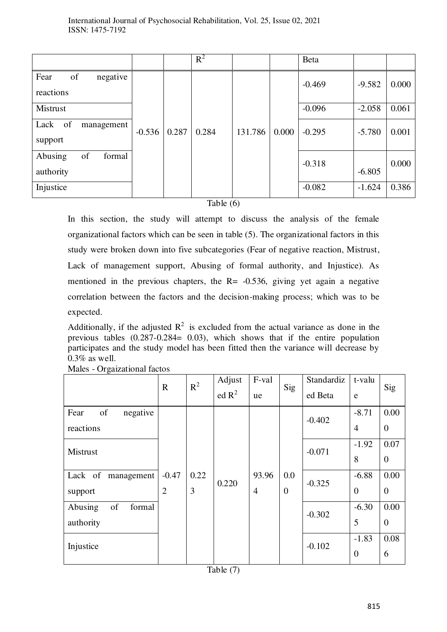|                                      |          |       | $R^2$ |         |       | Beta     |          |       |
|--------------------------------------|----------|-------|-------|---------|-------|----------|----------|-------|
| of<br>Fear<br>negative<br>reactions  |          |       |       |         |       | $-0.469$ | $-9.582$ | 0.000 |
| Mistrust                             |          |       |       |         |       | $-0.096$ | $-2.058$ | 0.061 |
| of<br>Lack<br>management<br>support  | $-0.536$ | 0.287 | 0.284 | 131.786 | 0.000 | $-0.295$ | $-5.780$ | 0.001 |
| Abusing<br>of<br>formal<br>authority |          |       |       |         |       | $-0.318$ | $-6.805$ | 0.000 |
| Injustice                            |          |       |       |         |       | $-0.082$ | $-1.624$ | 0.386 |

Table (6)

In this section, the study will attempt to discuss the analysis of the female organizational factors which can be seen in table (5). The organizational factors in this study were broken down into five subcategories (Fear of negative reaction, Mistrust, Lack of management support, Abusing of formal authority, and Injustice). As mentioned in the previous chapters, the  $R = -0.536$ , giving yet again a negative correlation between the factors and the decision-making process; which was to be expected.

Additionally, if the adjusted  $R^2$  is excluded from the actual variance as done in the previous tables (0.287-0.284= 0.03), which shows that if the entire population participates and the study model has been fitted then the variance will decrease by 0.3% as well.

|                                      | $\mathbf R$               | $R^2$     | Adjust<br>ed R <sup>2</sup> | F-val<br>ue             | Sig                 | Standardiz<br>ed Beta | t-valu<br>e               | Sig                    |
|--------------------------------------|---------------------------|-----------|-----------------------------|-------------------------|---------------------|-----------------------|---------------------------|------------------------|
| of<br>Fear<br>negative<br>reactions  |                           |           |                             |                         |                     | $-0.402$              | $-8.71$<br>$\overline{4}$ | 0.00<br>$\overline{0}$ |
| Mistrust                             |                           |           |                             |                         |                     | $-0.071$              | $-1.92$<br>8              | 0.07<br>$\theta$       |
| Lack of management<br>support        | $-0.47$<br>$\overline{2}$ | 0.22<br>3 | 0.220                       | 93.96<br>$\overline{4}$ | 0.0<br>$\mathbf{0}$ | $-0.325$              | $-6.88$<br>$\overline{0}$ | 0.00<br>$\overline{0}$ |
| Abusing<br>of<br>formal<br>authority |                           |           |                             |                         |                     | $-0.302$              | $-6.30$<br>5              | 0.00<br>$\mathbf{0}$   |
| Injustice                            |                           |           |                             |                         |                     | $-0.102$              | $-1.83$<br>$\overline{0}$ | 0.08<br>6              |

Males - Orgaizational factos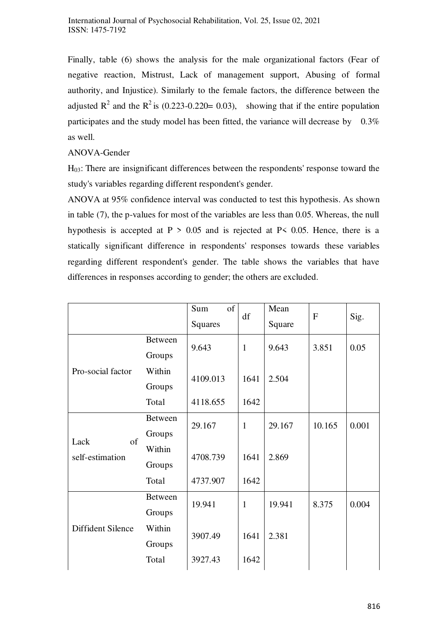Finally, table (6) shows the analysis for the male organizational factors (Fear of negative reaction, Mistrust, Lack of management support, Abusing of formal authority, and Injustice). Similarly to the female factors, the difference between the adjusted  $\mathbb{R}^2$  and the  $\mathbb{R}^2$  is (0.223-0.220= 0.03), showing that if the entire population participates and the study model has been fitted, the variance will decrease by 0.3% as well.

## ANOVA-Gender

H03: There are insignificant differences between the respondents' response toward the study's variables regarding different respondent's gender.

ANOVA at 95% confidence interval was conducted to test this hypothesis. As shown in table (7), the p-values for most of the variables are less than 0.05. Whereas, the null hypothesis is accepted at  $P > 0.05$  and is rejected at P $\leq 0.05$ . Hence, there is a statically significant difference in respondents' responses towards these variables regarding different respondent's gender. The table shows the variables that have differences in responses according to gender; the others are excluded.

|                               |                | of<br>Sum | df           | Mean   | $\mathbf F$ | Sig.  |
|-------------------------------|----------------|-----------|--------------|--------|-------------|-------|
|                               |                | Squares   |              | Square |             |       |
| Pro-social factor             | <b>Between</b> | 9.643     | $\mathbf{1}$ | 9.643  | 3.851       | 0.05  |
|                               | Groups         |           |              |        |             |       |
|                               | Within         | 4109.013  | 1641         | 2.504  |             |       |
|                               | Groups         |           |              |        |             |       |
|                               | Total          | 4118.655  | 1642         |        |             |       |
| of<br>Lack<br>self-estimation | <b>Between</b> | 29.167    | $\mathbf{1}$ | 29.167 | 10.165      | 0.001 |
|                               | Groups         |           |              |        |             |       |
|                               | Within         | 4708.739  | 1641         | 2.869  |             |       |
|                               | Groups         |           |              |        |             |       |
|                               | Total          | 4737.907  | 1642         |        |             |       |
| Diffident Silence             | <b>Between</b> | 19.941    | $\mathbf{1}$ | 19.941 | 8.375       | 0.004 |
|                               | Groups         |           |              |        |             |       |
|                               | Within         |           | 1641         | 2.381  |             |       |
|                               | Groups         | 3907.49   |              |        |             |       |
|                               | Total          | 3927.43   | 1642         |        |             |       |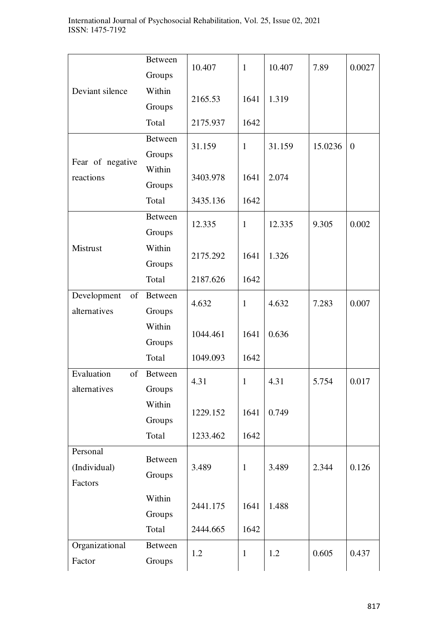|                   | <b>Between</b> | 10.407   | $\mathbf{1}$ | 10.407 | 7.89    | 0.0027           |
|-------------------|----------------|----------|--------------|--------|---------|------------------|
|                   | Groups         |          |              |        |         |                  |
| Deviant silence   | Within         | 2165.53  | 1641         | 1.319  |         |                  |
|                   | Groups         |          |              |        |         |                  |
|                   | Total          | 2175.937 | 1642         |        |         |                  |
|                   | <b>Between</b> | 31.159   | $\mathbf{1}$ | 31.159 | 15.0236 | $\boldsymbol{0}$ |
| Fear of negative  | Groups         |          |              |        |         |                  |
| reactions         | Within         | 3403.978 | 1641         | 2.074  |         |                  |
|                   | Groups         |          |              |        |         |                  |
|                   | Total          | 3435.136 | 1642         |        |         |                  |
|                   | <b>Between</b> | 12.335   | $\mathbf{1}$ | 12.335 | 9.305   | 0.002            |
|                   | Groups         |          |              |        |         |                  |
| Mistrust          | Within         | 2175.292 | 1641         | 1.326  |         |                  |
|                   | Groups         |          |              |        |         |                  |
|                   | Total          | 2187.626 | 1642         |        |         |                  |
| Development<br>of | Between        | 4.632    | $\mathbf{1}$ | 4.632  | 7.283   | 0.007            |
| alternatives      | Groups         | 1044.461 |              |        |         |                  |
|                   | Within         |          | 1641         | 0.636  |         |                  |
|                   | Groups         |          |              |        |         |                  |
|                   | Total          | 1049.093 | 1642         |        |         |                  |
| Evaluation<br>of  | <b>Between</b> | 4.31     | $\mathbf{1}$ | 4.31   | 5.754   | 0.017            |
| alternatives      | Groups         |          |              |        |         |                  |
|                   | Within         | 1229.152 | 1641         | 0.749  |         |                  |
|                   | Groups         |          |              |        |         |                  |
|                   | Total          | 1233.462 | 1642         |        |         |                  |
| Personal          | Between        |          |              |        |         |                  |
| (Individual)      | Groups         | 3.489    | $\mathbf{1}$ | 3.489  | 2.344   | 0.126            |
| Factors           |                |          |              |        |         |                  |
|                   | Within         | 2441.175 | 1641         | 1.488  |         |                  |
|                   | Groups         |          |              |        |         |                  |
|                   |                |          |              |        |         |                  |
|                   | Total          | 2444.665 | 1642         |        |         |                  |
| Organizational    | Between        | 1.2      | $\mathbf{1}$ | 1.2    | 0.605   | 0.437            |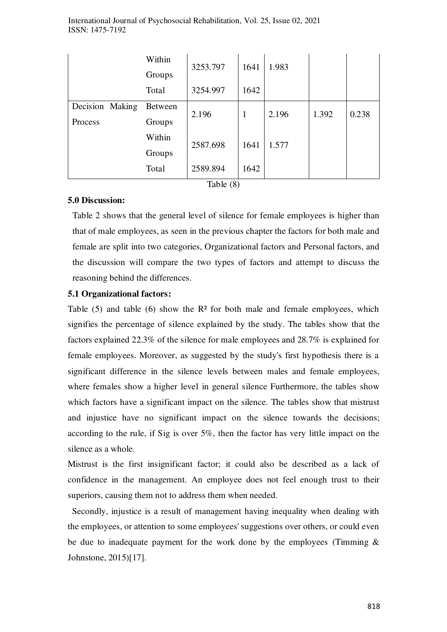|                 | Within         | 3253.797 | 1641 | 1.983 |       |       |
|-----------------|----------------|----------|------|-------|-------|-------|
|                 | Groups         |          |      |       |       |       |
|                 | Total          | 3254.997 | 1642 |       |       |       |
| Decision Making | <b>Between</b> | 2.196    |      | 2.196 | 1.392 | 0.238 |
| Process         | Groups         |          |      |       |       |       |
|                 | Within         | 2587.698 | 1641 | 1.577 |       |       |
|                 | Groups         |          |      |       |       |       |
|                 | Total          | 2589.894 | 1642 |       |       |       |

Table (8)

## **5.0 Discussion:**

Table 2 shows that the general level of silence for female employees is higher than that of male employees, as seen in the previous chapter the factors for both male and female are split into two categories, Organizational factors and Personal factors, and the discussion will compare the two types of factors and attempt to discuss the reasoning behind the differences.

## **5.1 Organizational factors:**

Table  $(5)$  and table  $(6)$  show the  $\mathbb{R}^2$  for both male and female employees, which signifies the percentage of silence explained by the study. The tables show that the factors explained 22.3% of the silence for male employees and 28.7% is explained for female employees. Moreover, as suggested by the study's first hypothesis there is a significant difference in the silence levels between males and female employees, where females show a higher level in general silence Furthermore, the tables show which factors have a significant impact on the silence. The tables show that mistrust and injustice have no significant impact on the silence towards the decisions; according to the rule, if Sig is over 5%, then the factor has very little impact on the silence as a whole.

Mistrust is the first insignificant factor; it could also be described as a lack of confidence in the management. An employee does not feel enough trust to their superiors, causing them not to address them when needed.

 Secondly, injustice is a result of management having inequality when dealing with the employees, or attention to some employees' suggestions over others, or could even be due to inadequate payment for the work done by the employees (Timming  $\&$ Johnstone, 2015)[17].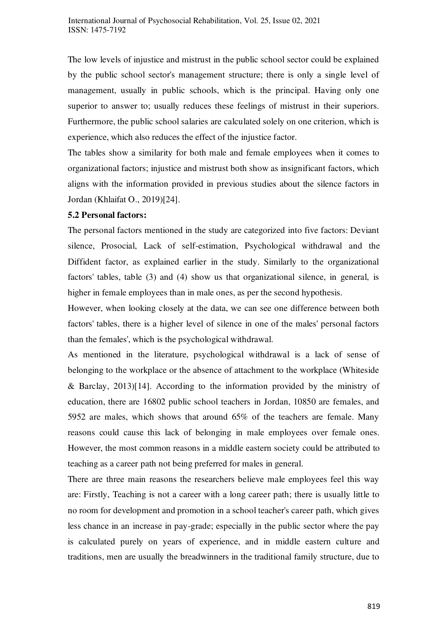The low levels of injustice and mistrust in the public school sector could be explained by the public school sector's management structure; there is only a single level of management, usually in public schools, which is the principal. Having only one superior to answer to; usually reduces these feelings of mistrust in their superiors. Furthermore, the public school salaries are calculated solely on one criterion, which is experience, which also reduces the effect of the injustice factor.

The tables show a similarity for both male and female employees when it comes to organizational factors; injustice and mistrust both show as insignificant factors, which aligns with the information provided in previous studies about the silence factors in Jordan (Khlaifat O., 2019)[24].

#### **5.2 Personal factors:**

The personal factors mentioned in the study are categorized into five factors: Deviant silence, Prosocial, Lack of self-estimation, Psychological withdrawal and the Diffident factor, as explained earlier in the study. Similarly to the organizational factors' tables, table (3) and (4) show us that organizational silence, in general, is higher in female employees than in male ones, as per the second hypothesis.

However, when looking closely at the data, we can see one difference between both factors' tables, there is a higher level of silence in one of the males' personal factors than the females', which is the psychological withdrawal.

As mentioned in the literature, psychological withdrawal is a lack of sense of belonging to the workplace or the absence of attachment to the workplace (Whiteside & Barclay, 2013)[14]. According to the information provided by the ministry of education, there are 16802 public school teachers in Jordan, 10850 are females, and 5952 are males, which shows that around 65% of the teachers are female. Many reasons could cause this lack of belonging in male employees over female ones. However, the most common reasons in a middle eastern society could be attributed to teaching as a career path not being preferred for males in general.

There are three main reasons the researchers believe male employees feel this way are: Firstly, Teaching is not a career with a long career path; there is usually little to no room for development and promotion in a school teacher's career path, which gives less chance in an increase in pay-grade; especially in the public sector where the pay is calculated purely on years of experience, and in middle eastern culture and traditions, men are usually the breadwinners in the traditional family structure, due to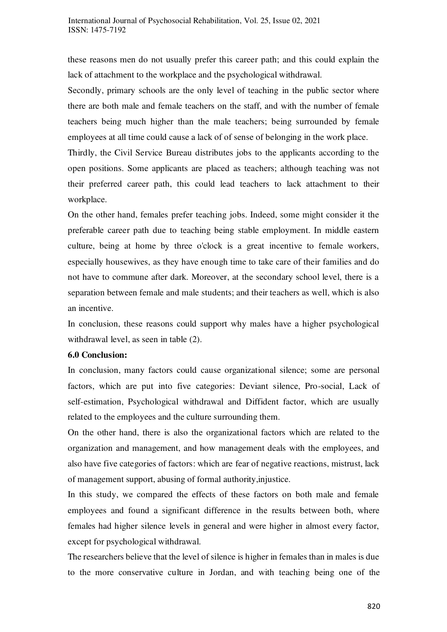these reasons men do not usually prefer this career path; and this could explain the lack of attachment to the workplace and the psychological withdrawal.

Secondly, primary schools are the only level of teaching in the public sector where there are both male and female teachers on the staff, and with the number of female teachers being much higher than the male teachers; being surrounded by female employees at all time could cause a lack of of sense of belonging in the work place.

Thirdly, the Civil Service Bureau distributes jobs to the applicants according to the open positions. Some applicants are placed as teachers; although teaching was not their preferred career path, this could lead teachers to lack attachment to their workplace.

On the other hand, females prefer teaching jobs. Indeed, some might consider it the preferable career path due to teaching being stable employment. In middle eastern culture, being at home by three o'clock is a great incentive to female workers, especially housewives, as they have enough time to take care of their families and do not have to commune after dark. Moreover, at the secondary school level, there is a separation between female and male students; and their teachers as well, which is also an incentive.

In conclusion, these reasons could support why males have a higher psychological withdrawal level, as seen in table (2).

#### **6.0 Conclusion:**

In conclusion, many factors could cause organizational silence; some are personal factors, which are put into five categories: Deviant silence, Pro-social, Lack of self-estimation, Psychological withdrawal and Diffident factor, which are usually related to the employees and the culture surrounding them.

On the other hand, there is also the organizational factors which are related to the organization and management, and how management deals with the employees, and also have five categories of factors: which are fear of negative reactions, mistrust, lack of management support, abusing of formal authority,injustice.

In this study, we compared the effects of these factors on both male and female employees and found a significant difference in the results between both, where females had higher silence levels in general and were higher in almost every factor, except for psychological withdrawal.

The researchers believe that the level of silence is higher in females than in males is due to the more conservative culture in Jordan, and with teaching being one of the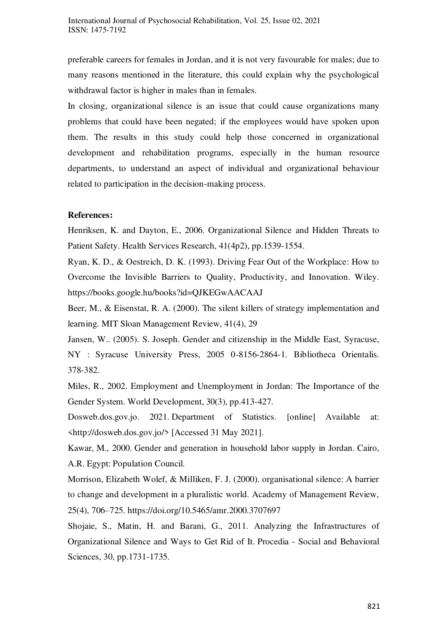preferable careers for females in Jordan, and it is not very favourable for males; due to many reasons mentioned in the literature, this could explain why the psychological withdrawal factor is higher in males than in females.

In closing, organizational silence is an issue that could cause organizations many problems that could have been negated; if the employees would have spoken upon them. The results in this study could help those concerned in organizational development and rehabilitation programs, especially in the human resource departments, to understand an aspect of individual and organizational behaviour related to participation in the decision-making process.

#### **References:**

Henriksen, K. and Dayton, E., 2006. Organizational Silence and Hidden Threats to Patient Safety. Health Services Research, 41(4p2), pp.1539-1554.

Ryan, K. D., & Oestreich, D. K. (1993). Driving Fear Out of the Workplace: How to Overcome the Invisible Barriers to Quality, Productivity, and Innovation. Wiley. <https://books.google.hu/books?id=QJKEGwAACAAJ>

Beer, M., & Eisenstat, R. A. (2000). The silent killers of strategy implementation and learning. MIT Sloan Management Review, 41(4), 29

Jansen, W.. (2005). S. Joseph. Gender and citizenship in the Middle East, Syracuse, NY : Syracuse University Press, 2005 0-8156-2864-1. Bibliotheca Orientalis. 378-382.

Miles, R., 2002. Employment and Unemployment in Jordan: The Importance of the Gender System. World Development, 30(3), pp.413-427.

Dosweb.dos.gov.jo. 2021. Department of Statistics. [online] Available at: <http://dosweb.dos.gov.jo/> [Accessed 31 May 2021].

Kawar, M., 2000. Gender and generation in household labor supply in Jordan. Cairo, A.R. Egypt: Population Council.

Morrison, Elizabeth Wolef, & Milliken, F. J. (2000). organisational silence: A barrier to change and development in a pluralistic world. Academy of Management Review, 25(4), 706–725. https://doi.org/10.5465/amr.2000.3707697

Shojaie, S., Matin, H. and Barani, G., 2011. Analyzing the Infrastructures of Organizational Silence and Ways to Get Rid of It. Procedia - Social and Behavioral Sciences, 30, pp.1731-1735.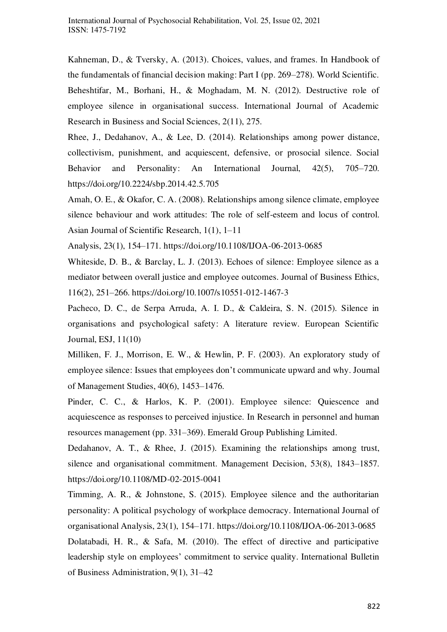Kahneman, D., & Tversky, A. (2013). Choices, values, and frames. In Handbook of the fundamentals of financial decision making: Part I (pp. 269–278). World Scientific. Beheshtifar, M., Borhani, H., & Moghadam, M. N. (2012). Destructive role of employee silence in organisational success. International Journal of Academic Research in Business and Social Sciences, 2(11), 275.

Rhee, J., Dedahanov, A., & Lee, D. (2014). Relationships among power distance, collectivism, punishment, and acquiescent, defensive, or prosocial silence. Social Behavior and Personality: An International Journal, 42(5), 705–720. https://doi.org/10.2224/sbp.2014.42.5.705

Amah, O. E., & Okafor, C. A. (2008). Relationships among silence climate, employee silence behaviour and work attitudes: The role of self-esteem and locus of control. Asian Journal of Scientific Research, 1(1), 1–11

Analysis, 23(1), 154–171. https://doi.org/10.1108/IJOA-06-2013-0685

Whiteside, D. B., & Barclay, L. J. (2013). Echoes of silence: Employee silence as a mediator between overall justice and employee outcomes. Journal of Business Ethics, 116(2), 251–266. https://doi.org/10.1007/s10551-012-1467-3

Pacheco, D. C., de Serpa Arruda, A. I. D., & Caldeira, S. N. (2015). Silence in organisations and psychological safety: A literature review. European Scientific Journal, ESJ, 11(10)

Milliken, F. J., Morrison, E. W., & Hewlin, P. F. (2003). An exploratory study of employee silence: Issues that employees don't communicate upward and why. Journal of Management Studies, 40(6), 1453–1476.

Pinder, C. C., & Harlos, K. P. (2001). Employee silence: Quiescence and acquiescence as responses to perceived injustice. In Research in personnel and human resources management (pp. 331–369). Emerald Group Publishing Limited.

Dedahanov, A. T., & Rhee, J. (2015). Examining the relationships among trust, silence and organisational commitment. Management Decision, 53(8), 1843–1857. https://doi.org/10.1108/MD-02-2015-0041

Timming, A. R., & Johnstone, S. (2015). Employee silence and the authoritarian personality: A political psychology of workplace democracy. International Journal of organisational Analysis, 23(1), 154–171. https://doi.org/10.1108/IJOA-06-2013-0685 Dolatabadi, H. R., & Safa, M. (2010). The effect of directive and participative leadership style on employees' commitment to service quality. International Bulletin of Business Administration, 9(1), 31–42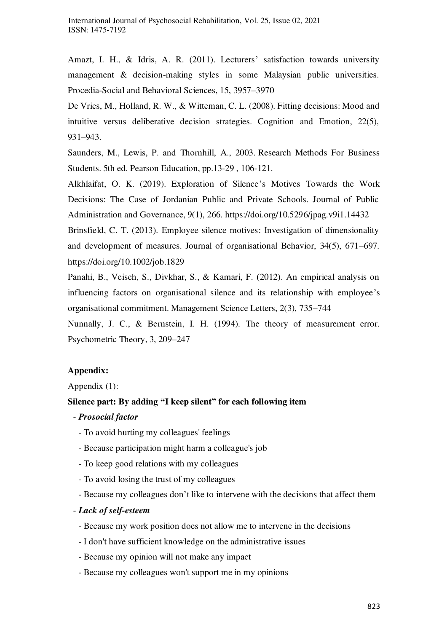Amazt, I. H., & Idris, A. R. (2011). Lecturers' satisfaction towards university management & decision-making styles in some Malaysian public universities. Procedia-Social and Behavioral Sciences, 15, 3957–3970

De Vries, M., Holland, R. W., & Witteman, C. L. (2008). Fitting decisions: Mood and intuitive versus deliberative decision strategies. Cognition and Emotion, 22(5), 931–943.

Saunders, M., Lewis, P. and Thornhill, A., 2003. Research Methods For Business Students. 5th ed. Pearson Education, pp.13-29 , 106-121.

Alkhlaifat, O. K. (2019). Exploration of Silence's Motives Towards the Work Decisions: The Case of Jordanian Public and Private Schools. Journal of Public Administration and Governance, 9(1), 266. https://doi.org/10.5296/jpag.v9i1.14432

Brinsfield, C. T. (2013). Employee silence motives: Investigation of dimensionality and development of measures. Journal of organisational Behavior, 34(5), 671–697. https://doi.org/10.1002/job.1829

Panahi, B., Veiseh, S., Divkhar, S., & Kamari, F. (2012). An empirical analysis on influencing factors on organisational silence and its relationship with employee's organisational commitment. Management Science Letters, 2(3), 735–744

Nunnally, J. C., & Bernstein, I. H. (1994). The theory of measurement error. Psychometric Theory, 3, 209–247

## **Appendix:**

Appendix (1):

## **Silence part: By adding "I keep silent" for each following item**

- *Prosocial factor* 
	- To avoid hurting my colleagues' feelings
	- Because participation might harm a colleague's job
	- To keep good relations with my colleagues
	- To avoid losing the trust of my colleagues
	- Because my colleagues don't like to intervene with the decisions that affect them
- *Lack of self-esteem* 
	- Because my work position does not allow me to intervene in the decisions
	- I don't have sufficient knowledge on the administrative issues
	- Because my opinion will not make any impact
	- Because my colleagues won't support me in my opinions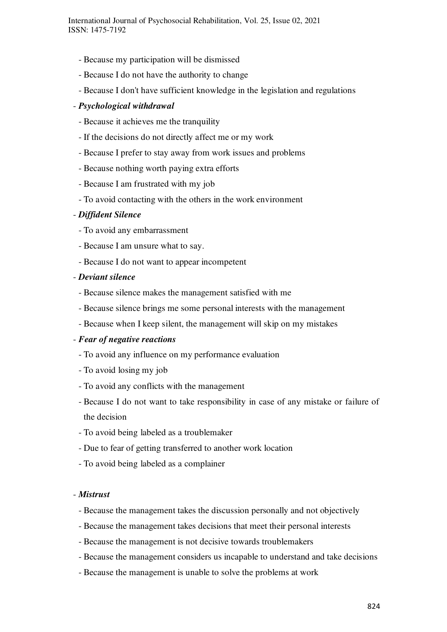- Because my participation will be dismissed
- Because I do not have the authority to change
- Because I don't have sufficient knowledge in the legislation and regulations

## - *Psychological withdrawal*

- Because it achieves me the tranquility
- If the decisions do not directly affect me or my work
- Because I prefer to stay away from work issues and problems
- Because nothing worth paying extra efforts
- Because I am frustrated with my job
- To avoid contacting with the others in the work environment

## - *Diffident Silence*

- To avoid any embarrassment
- Because I am unsure what to say.
- Because I do not want to appear incompetent

## - *Deviant silence*

- Because silence makes the management satisfied with me
- Because silence brings me some personal interests with the management
- Because when I keep silent, the management will skip on my mistakes

## - *Fear of negative reactions*

- To avoid any influence on my performance evaluation
- To avoid losing my job
- To avoid any conflicts with the management
- Because I do not want to take responsibility in case of any mistake or failure of the decision
- To avoid being labeled as a troublemaker
- Due to fear of getting transferred to another work location
- To avoid being labeled as a complainer

#### - *Mistrust*

- Because the management takes the discussion personally and not objectively
- Because the management takes decisions that meet their personal interests
- Because the management is not decisive towards troublemakers
- Because the management considers us incapable to understand and take decisions
- Because the management is unable to solve the problems at work